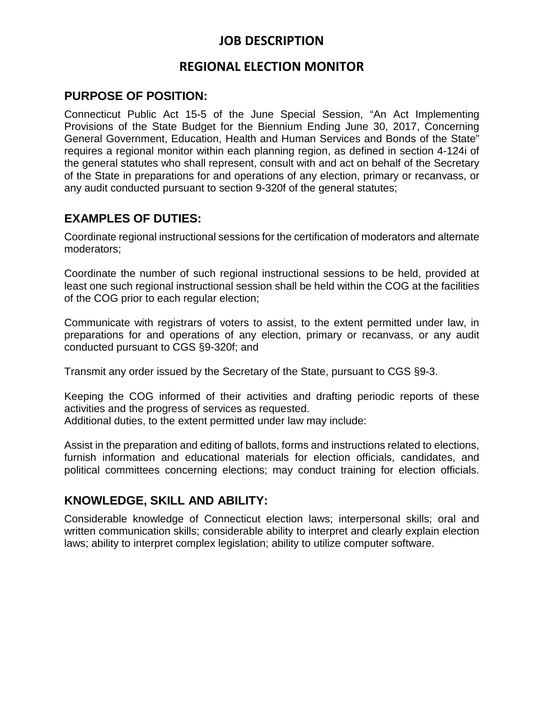# **JOB DESCRIPTION**

## **REGIONAL ELECTION MONITOR**

#### **PURPOSE OF POSITION:**

Connecticut Public Act 15-5 of the June Special Session, "An Act Implementing Provisions of the State Budget for the Biennium Ending June 30, 2017, Concerning General Government, Education, Health and Human Services and Bonds of the State" requires a regional monitor within each planning region, as defined in section 4-124i of the general statutes who shall represent, consult with and act on behalf of the Secretary of the State in preparations for and operations of any election, primary or recanvass, or any audit conducted pursuant to section 9-320f of the general statutes;

### **EXAMPLES OF DUTIES:**

Coordinate regional instructional sessions for the certification of moderators and alternate moderators;

Coordinate the number of such regional instructional sessions to be held, provided at least one such regional instructional session shall be held within the COG at the facilities of the COG prior to each regular election;

Communicate with registrars of voters to assist, to the extent permitted under law, in preparations for and operations of any election, primary or recanvass, or any audit conducted pursuant to CGS §9-320f; and

Transmit any order issued by the Secretary of the State, pursuant to CGS §9-3.

Keeping the COG informed of their activities and drafting periodic reports of these activities and the progress of services as requested.

Additional duties, to the extent permitted under law may include:

Assist in the preparation and editing of ballots, forms and instructions related to elections, furnish information and educational materials for election officials, candidates, and political committees concerning elections; may conduct training for election officials.

#### **KNOWLEDGE, SKILL AND ABILITY:**

Considerable knowledge of Connecticut election laws; interpersonal skills; oral and written communication skills; considerable ability to interpret and clearly explain election laws; ability to interpret complex legislation; ability to utilize computer software.